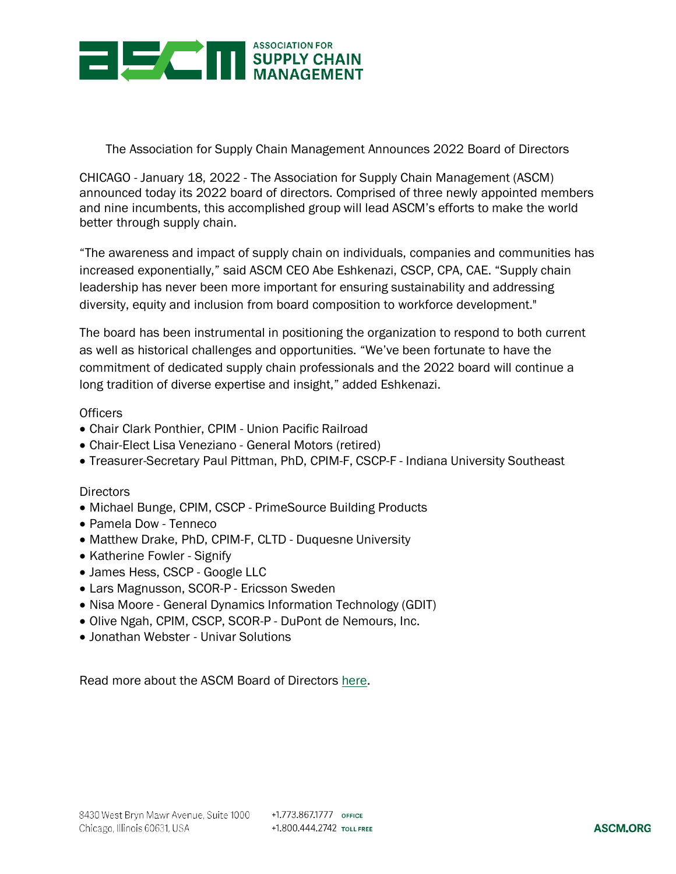

The Association for Supply Chain Management Announces 2022 Board of Directors

CHICAGO - January 18, 2022 - The Association for Supply Chain Management (ASCM) announced today its 2022 board of directors. Comprised of three newly appointed members and nine incumbents, this accomplished group will lead ASCM's efforts to make the world better through supply chain.

"The awareness and impact of supply chain on individuals, companies and communities has increased exponentially," said ASCM CEO Abe Eshkenazi, CSCP, CPA, CAE. "Supply chain leadership has never been more important for ensuring sustainability and addressing diversity, equity and inclusion from board composition to workforce development."

The board has been instrumental in positioning the organization to respond to both current as well as historical challenges and opportunities. "We've been fortunate to have the commitment of dedicated supply chain professionals and the 2022 board will continue a long tradition of diverse expertise and insight," added Eshkenazi.

## **Officers**

- Chair Clark Ponthier, CPIM Union Pacific Railroad
- Chair-Elect Lisa Veneziano General Motors (retired)
- Treasurer-Secretary Paul Pittman, PhD, CPIM-F, CSCP-F Indiana University Southeast

## **Directors**

- Michael Bunge, CPIM, CSCP PrimeSource Building Products
- Pamela Dow Tenneco
- Matthew Drake, PhD, CPIM-F, CLTD Duquesne University
- Katherine Fowler Signify
- James Hess, CSCP Google LLC
- Lars Magnusson, SCOR-P Ericsson Sweden
- Nisa Moore General Dynamics Information Technology (GDIT)
- Olive Ngah, CPIM, CSCP, SCOR-P DuPont de Nemours, Inc.
- Jonathan Webster Univar Solutions

Read more about the ASCM Board of Directors [here.](https://www.ascm.org/about-ascm/leadership/)